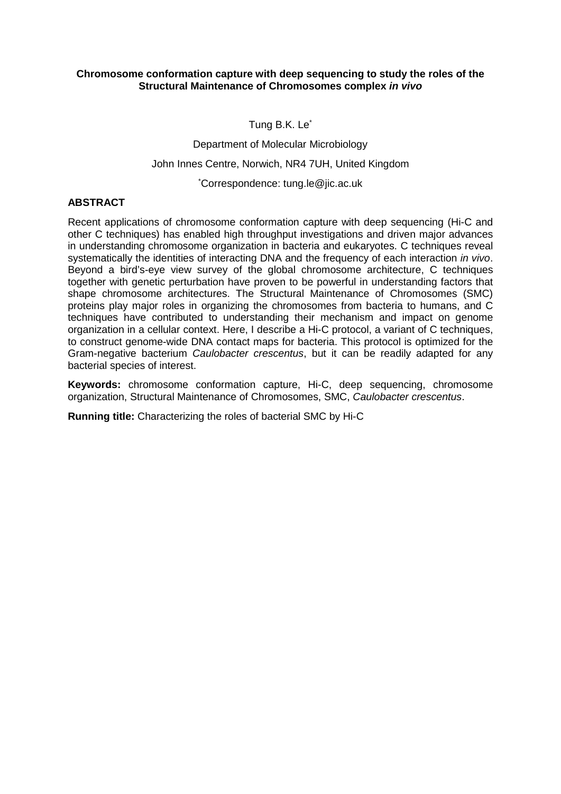#### **Chromosome conformation capture with deep sequencing to study the roles of the Structural Maintenance of Chromosomes complex** *in vivo*

Tung B.K. Le<sup>\*</sup>

Department of Molecular Microbiology

John Innes Centre, Norwich, NR4 7UH, United Kingdom

\* Correspondence: tung.le@jic.ac.uk

## **ABSTRACT**

Recent applications of chromosome conformation capture with deep sequencing (Hi-C and other C techniques) has enabled high throughput investigations and driven major advances in understanding chromosome organization in bacteria and eukaryotes. C techniques reveal systematically the identities of interacting DNA and the frequency of each interaction *in vivo*. Beyond a bird's-eye view survey of the global chromosome architecture, C techniques together with genetic perturbation have proven to be powerful in understanding factors that shape chromosome architectures. The Structural Maintenance of Chromosomes (SMC) proteins play major roles in organizing the chromosomes from bacteria to humans, and C techniques have contributed to understanding their mechanism and impact on genome organization in a cellular context. Here, I describe a Hi-C protocol, a variant of C techniques, to construct genome-wide DNA contact maps for bacteria. This protocol is optimized for the Gram-negative bacterium *Caulobacter crescentus*, but it can be readily adapted for any bacterial species of interest.

**Keywords:** chromosome conformation capture, Hi-C, deep sequencing, chromosome organization, Structural Maintenance of Chromosomes, SMC, *Caulobacter crescentus*.

**Running title:** Characterizing the roles of bacterial SMC by Hi-C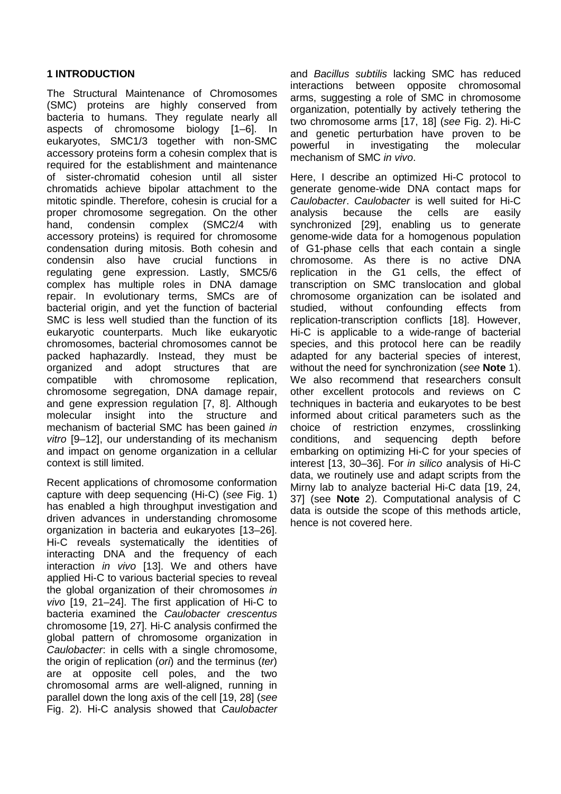### **1 INTRODUCTION**

The Structural Maintenance of Chromosomes (SMC) proteins are highly conserved from bacteria to humans. They regulate nearly all aspects of chromosome biology [1–6]. In eukaryotes, SMC1/3 together with non-SMC accessory proteins form a cohesin complex that is required for the establishment and maintenance of sister-chromatid cohesion until all sister chromatids achieve bipolar attachment to the mitotic spindle. Therefore, cohesin is crucial for a proper chromosome segregation. On the other hand, condensin complex (SMC2/4 with accessory proteins) is required for chromosome condensation during mitosis. Both cohesin and condensin also have crucial functions in regulating gene expression. Lastly, SMC5/6 complex has multiple roles in DNA damage repair. In evolutionary terms, SMCs are of bacterial origin, and yet the function of bacterial SMC is less well studied than the function of its eukaryotic counterparts. Much like eukaryotic chromosomes, bacterial chromosomes cannot be packed haphazardly. Instead, they must be organized and adopt structures that are<br>compatible with chromosome replication. compatible with chromosome replication, chromosome segregation, DNA damage repair, and gene expression regulation [7, 8]. Although molecular insight into the structure and mechanism of bacterial SMC has been gained *in vitro* [9–12], our understanding of its mechanism and impact on genome organization in a cellular context is still limited.

Recent applications of chromosome conformation capture with deep sequencing (Hi-C) (*see* Fig. 1) has enabled a high throughput investigation and driven advances in understanding chromosome organization in bacteria and eukaryotes [13–26]. Hi-C reveals systematically the identities of interacting DNA and the frequency of each interaction *in vivo* [13]. We and others have applied Hi-C to various bacterial species to reveal the global organization of their chromosomes *in vivo* [19, 21–24]. The first application of Hi-C to bacteria examined the *Caulobacter crescentus* chromosome [19, 27]. Hi-C analysis confirmed the global pattern of chromosome organization in *Caulobacter*: in cells with a single chromosome, the origin of replication (*ori*) and the terminus (*ter*) are at opposite cell poles, and the two chromosomal arms are well-aligned, running in parallel down the long axis of the cell [19, 28] (*see* Fig. 2). Hi-C analysis showed that *Caulobacter*

and *Bacillus subtilis* lacking SMC has reduced interactions between opposite chromosomal arms, suggesting a role of SMC in chromosome organization, potentially by actively tethering the two chromosome arms [17, 18] (*see* Fig. 2). Hi-C and genetic perturbation have proven to be powerful in investigating the molecular mechanism of SMC *in vivo*.

Here, I describe an optimized Hi-C protocol to generate genome-wide DNA contact maps for *Caulobacter*. *Caulobacter* is well suited for Hi-C analysis because the cells are easily synchronized [29], enabling us to generate genome-wide data for a homogenous population of G1-phase cells that each contain a single chromosome. As there is no active DNA replication in the G1 cells, the effect of transcription on SMC translocation and global chromosome organization can be isolated and studied, without confounding effects from replication-transcription conflicts [18]. However, Hi-C is applicable to a wide-range of bacterial species, and this protocol here can be readily adapted for any bacterial species of interest, without the need for synchronization (*see* **Note** 1). We also recommend that researchers consult other excellent protocols and reviews on C techniques in bacteria and eukaryotes to be best informed about critical parameters such as the choice of restriction enzymes, crosslinking conditions, and sequencing depth before embarking on optimizing Hi-C for your species of interest [13, 30–36]. For *in silico* analysis of Hi-C data, we routinely use and adapt scripts from the Mirny lab to analyze bacterial Hi-C data [19, 24, 37] (see **Note** 2). Computational analysis of C data is outside the scope of this methods article, hence is not covered here.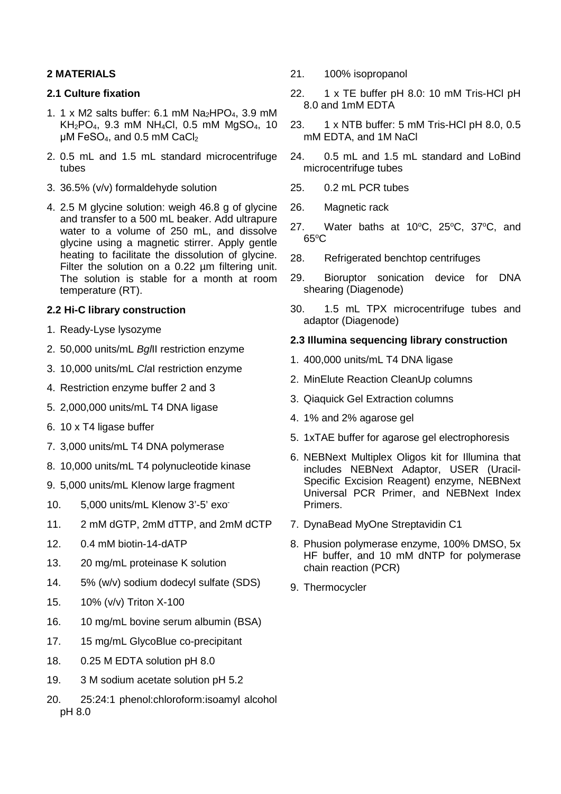## **2 MATERIALS**

## **2.1 Culture fixation**

- 1. 1 x M2 salts buffer: 6.1 mM  $Na<sub>2</sub>HPO<sub>4</sub>$ , 3.9 mM KH2PO4, 9.3 mM NH4Cl, 0.5 mM MgSO4, 10 μM FeSO<sub>4</sub>, and 0.5 mM CaCl<sub>2</sub>
- 2. 0.5 mL and 1.5 mL standard microcentrifuge tubes
- 3. 36.5% (v/v) formaldehyde solution
- 4. 2.5 M glycine solution: weigh 46.8 g of glycine and transfer to a 500 mL beaker. Add ultrapure water to a volume of 250 mL, and dissolve glycine using a magnetic stirrer. Apply gentle heating to facilitate the dissolution of glycine. Filter the solution on a 0.22 um filtering unit. The solution is stable for a month at room temperature (RT).

## **2.2 Hi-C library construction**

- 1. Ready-Lyse lysozyme
- 2. 50,000 units/mL *Bgl*II restriction enzyme
- 3. 10,000 units/mL *Cla*I restriction enzyme
- 4. Restriction enzyme buffer 2 and 3
- 5. 2,000,000 units/mL T4 DNA ligase
- 6. 10 x T4 ligase buffer
- 7. 3,000 units/mL T4 DNA polymerase
- 8. 10,000 units/mL T4 polynucleotide kinase
- 9. 5,000 units/mL Klenow large fragment
- 10. 5,000 units/mL Klenow 3'-5' exo-
- 11. 2 mM dGTP, 2mM dTTP, and 2mM dCTP
- 12. 0.4 mM biotin-14-dATP
- 13. 20 mg/mL proteinase K solution
- 14. 5% (w/v) sodium dodecyl sulfate (SDS)
- 15. 10% (v/v) Triton X-100
- 16. 10 mg/mL bovine serum albumin (BSA)
- 17. 15 mg/mL GlycoBlue co-precipitant
- 18. 0.25 M EDTA solution pH 8.0
- 19. 3 M sodium acetate solution pH 5.2
- 20. 25:24:1 phenol:chloroform:isoamyl alcohol pH 8.0
- 21. 100% isopropanol
- 22. 1 x TE buffer pH 8.0: 10 mM Tris-HCl pH 8.0 and 1mM EDTA
- 23. 1 x NTB buffer: 5 mM Tris-HCl pH 8.0, 0.5 mM EDTA, and 1M NaCl
- 24. 0.5 mL and 1.5 mL standard and LoBind microcentrifuge tubes
- 25. 0.2 mL PCR tubes
- 26. Magnetic rack
- 27. Water baths at  $10^{\circ}$ C,  $25^{\circ}$ C,  $37^{\circ}$ C, and 65o C
- 28. Refrigerated benchtop centrifuges
- 29. Bioruptor sonication device for DNA shearing (Diagenode)
- 30. 1.5 mL TPX microcentrifuge tubes and adaptor (Diagenode)

### **2.3 Illumina sequencing library construction**

- 1. 400,000 units/mL T4 DNA ligase
- 2. MinElute Reaction CleanUp columns
- 3. Qiaquick Gel Extraction columns
- 4. 1% and 2% agarose gel
- 5. 1xTAE buffer for agarose gel electrophoresis
- 6. NEBNext Multiplex Oligos kit for Illumina that includes NEBNext Adaptor, USER (Uracil-Specific Excision Reagent) enzyme, NEBNext Universal PCR Primer, and NEBNext Index Primers.
- 7. DynaBead MyOne Streptavidin C1
- 8. Phusion polymerase enzyme, 100% DMSO, 5x HF buffer, and 10 mM dNTP for polymerase chain reaction (PCR)
- 9. Thermocycler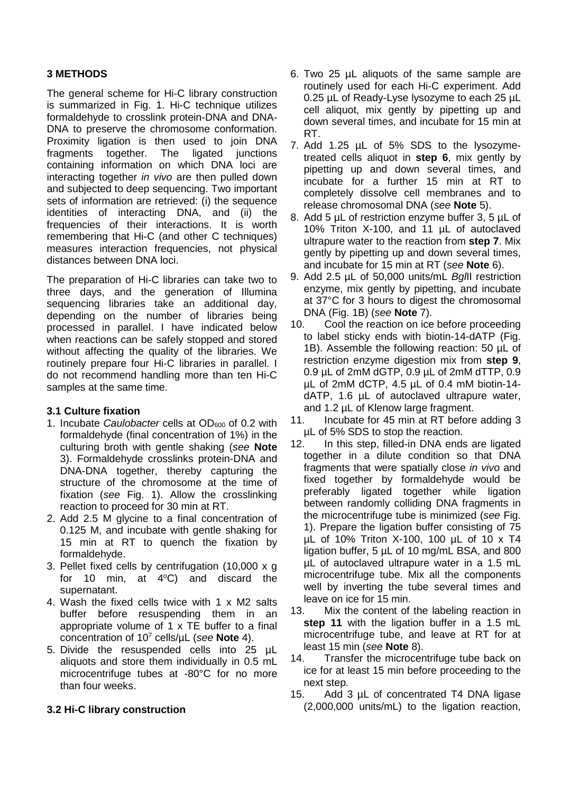## **3 METHODS**

The general scheme for Hi-C library construction is summarized in Fig. 1. Hi-C technique utilizes formaldehyde to crosslink protein-DNA and DNA-DNA to preserve the chromosome conformation. Proximity ligation is then used to join DNA fragments together. The ligated junctions containing information on which DNA loci are interacting together *in vivo* are then pulled down and subjected to deep sequencing. Two important sets of information are retrieved: (i) the sequence identities of interacting DNA, and (ii) the frequencies of their interactions. It is worth remembering that Hi-C (and other C techniques) measures interaction frequencies, not physical distances between DNA loci.

The preparation of Hi-C libraries can take two to three days, and the generation of Illumina sequencing libraries take an additional dav. depending on the number of libraries being processed in parallel. I have indicated below when reactions can be safely stopped and stored without affecting the quality of the libraries. We routinely prepare four Hi-C libraries in parallel. I do not recommend handling more than ten Hi-C samples at the same time.

### **3.1 Culture fixation**

- 1. Incubate *Caulobacter* cells at OD<sub>600</sub> of 0.2 with formaldehyde (final concentration of 1%) in the culturing broth with gentle shaking (*see* **Note** 3). Formaldehyde crosslinks protein-DNA and DNA-DNA together, thereby capturing the structure of the chromosome at the time of fixation (*see* Fig. 1). Allow the crosslinking reaction to proceed for 30 min at RT.
- 2. Add 2.5 M glycine to a final concentration of 0.125 M, and incubate with gentle shaking for 15 min at RT to quench the fixation by formaldehyde.
- 3. Pellet fixed cells by centrifugation (10,000 x g for 10 min, at  $4^{\circ}$ C) and discard the supernatant.
- 4. Wash the fixed cells twice with 1 x M2 salts buffer before resuspending them in an appropriate volume of 1 x TE buffer to a final concentration of 107 cells/µL (*see* **Note** 4).
- 5. Divide the resuspended cells into 25 µL aliquots and store them individually in 0.5 mL microcentrifuge tubes at -80°C for no more than four weeks.

# **3.2 Hi-C library construction**

- 6. Two 25 µL aliquots of the same sample are routinely used for each Hi-C experiment. Add 0.25 µL of Ready-Lyse lysozyme to each 25 µL cell aliquot, mix gently by pipetting up and down several times, and incubate for 15 min at RT.
- 7. Add 1.25 µL of 5% SDS to the lysozymetreated cells aliquot in **step 6**, mix gently by pipetting up and down several times, and incubate for a further 15 min at RT to completely dissolve cell membranes and to release chromosomal DNA (*see* **Note** 5).
- 8. Add 5 µL of restriction enzyme buffer 3, 5 µL of 10% Triton X-100, and 11 µL of autoclaved ultrapure water to the reaction from **step 7**. Mix gently by pipetting up and down several times, and incubate for 15 min at RT (*see* **Note** 6).
- 9. Add 2.5 µL of 50,000 units/mL *Bgl*II restriction enzyme, mix gently by pipetting, and incubate at 37°C for 3 hours to digest the chromosomal DNA (Fig. 1B) (*see* **Note** 7).
- 10. Cool the reaction on ice before proceeding to label sticky ends with biotin-14-dATP (Fig. 1B). Assemble the following reaction: 50 µL of restriction enzyme digestion mix from **step 9**, 0.9 µL of 2mM dGTP, 0.9 µL of 2mM dTTP, 0.9 µL of 2mM dCTP, 4.5 µL of 0.4 mM biotin-14 dATP, 1.6 µL of autoclaved ultrapure water, and 1.2 µL of Klenow large fragment.
- 11. Incubate for 45 min at RT before adding 3 µL of 5% SDS to stop the reaction.
- 12. In this step, filled-in DNA ends are ligated together in a dilute condition so that DNA fragments that were spatially close *in vivo* and fixed together by formaldehyde would be preferably ligated together while ligation between randomly colliding DNA fragments in the microcentrifuge tube is minimized (*see* Fig. 1). Prepare the ligation buffer consisting of 75 µL of 10% Triton X-100, 100 µL of 10 x T4 ligation buffer, 5 µL of 10 mg/mL BSA, and 800 µL of autoclaved ultrapure water in a 1.5 mL microcentrifuge tube. Mix all the components well by inverting the tube several times and leave on ice for 15 min.
- 13. Mix the content of the labeling reaction in **step 11** with the ligation buffer in a 1.5 mL microcentrifuge tube, and leave at RT for at least 15 min (*see* **Note** 8).
- 14. Transfer the microcentrifuge tube back on ice for at least 15 min before proceeding to the next step.
- 15. Add 3 µL of concentrated T4 DNA ligase (2,000,000 units/mL) to the ligation reaction,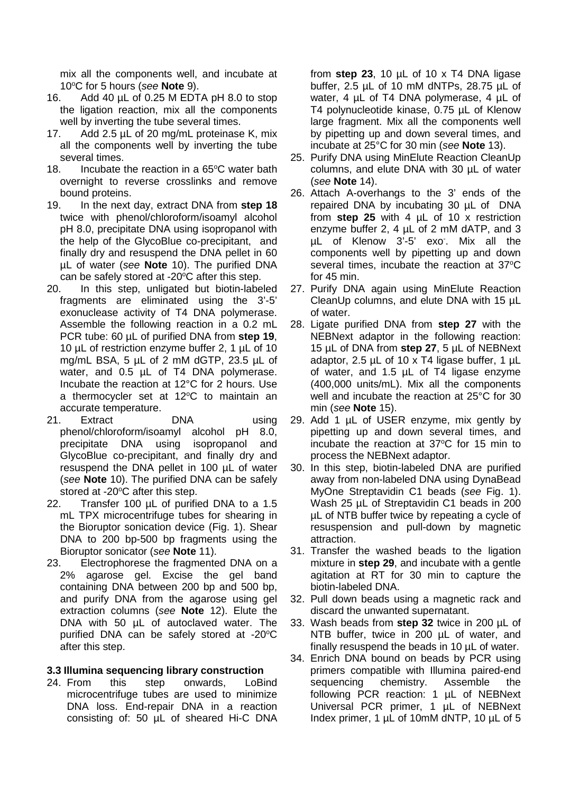mix all the components well, and incubate at 10°C for 5 hours (see **Note** 9).

- 16. Add 40 µL of 0.25 M EDTA pH 8.0 to stop the ligation reaction, mix all the components well by inverting the tube several times.
- 17. Add 2.5 µL of 20 mg/mL proteinase K, mix all the components well by inverting the tube several times.
- 18. Incubate the reaction in a  $65^{\circ}$ C water bath overnight to reverse crosslinks and remove bound proteins.
- 19. In the next day, extract DNA from **step 18** twice with phenol/chloroform/isoamyl alcohol pH 8.0, precipitate DNA using isopropanol with the help of the GlycoBlue co-precipitant, and finally dry and resuspend the DNA pellet in 60 µL of water (*see* **Note** 10). The purified DNA can be safely stored at -20°C after this step.
- 20. In this step, unligated but biotin-labeled fragments are eliminated using the 3'-5' exonuclease activity of T4 DNA polymerase. Assemble the following reaction in a 0.2 mL PCR tube: 60 µL of purified DNA from **step 19**, 10 µL of restriction enzyme buffer 2, 1 µL of 10 mg/mL BSA, 5 µL of 2 mM dGTP, 23.5 µL of water, and 0.5  $\mu$ L of T4 DNA polymerase. Incubate the reaction at 12°C for 2 hours. Use a thermocycler set at 12°C to maintain an accurate temperature.
- 21. Extract DNA using phenol/chloroform/isoamyl alcohol pH 8.0, precipitate DNA using isopropanol and GlycoBlue co-precipitant, and finally dry and resuspend the DNA pellet in 100 µL of water (*see* **Note** 10). The purified DNA can be safely stored at -20°C after this step.
- 22. Transfer 100 µL of purified DNA to a 1.5 mL TPX microcentrifuge tubes for shearing in the Bioruptor sonication device (Fig. 1). Shear DNA to 200 bp-500 bp fragments using the Bioruptor sonicator (*see* **Note** 11).
- 23. Electrophorese the fragmented DNA on a 2% agarose gel. Excise the gel band containing DNA between 200 bp and 500 bp, and purify DNA from the agarose using gel extraction columns (*see* **Note** 12). Elute the DNA with 50  $\mu$ L of autoclaved water. The purified DNA can be safely stored at -20 $\mathrm{^{\circ}C}$ after this step.

#### **3.3 Illumina sequencing library construction**

24. From this step onwards, LoBind microcentrifuge tubes are used to minimize DNA loss. End-repair DNA in a reaction consisting of: 50 µL of sheared Hi-C DNA from **step 23**, 10 µL of 10 x T4 DNA ligase buffer, 2.5 µL of 10 mM dNTPs, 28.75 µL of water, 4 µL of T4 DNA polymerase, 4 µL of T4 polynucleotide kinase, 0.75 µL of Klenow large fragment. Mix all the components well by pipetting up and down several times, and incubate at 25°C for 30 min (*see* **Note** 13).

- 25. Purify DNA using MinElute Reaction CleanUp columns, and elute DNA with 30 µL of water (*see* **Note** 14).
- 26. Attach A-overhangs to the 3' ends of the repaired DNA by incubating 30 µL of DNA from **step 25** with 4 µL of 10 x restriction enzyme buffer 2, 4 µL of 2 mM dATP, and 3 µL of Klenow 3'-5' exo- . Mix all the components well by pipetting up and down several times, incubate the reaction at  $37^{\circ}$ C for 45 min.
- 27. Purify DNA again using MinElute Reaction CleanUp columns, and elute DNA with 15 µL of water.
- 28. Ligate purified DNA from **step 27** with the NEBNext adaptor in the following reaction: 15 µL of DNA from **step 27**, 5 µL of NEBNext adaptor, 2.5  $\mu$ L of 10 x T4 ligase buffer, 1  $\mu$ L of water, and 1.5 µL of T4 ligase enzyme (400,000 units/mL). Mix all the components well and incubate the reaction at 25°C for 30 min (*see* **Note** 15).
- 29. Add 1 µL of USER enzyme, mix gently by pipetting up and down several times, and incubate the reaction at  $37^{\circ}$ C for 15 min to process the NEBNext adaptor.
- 30. In this step, biotin-labeled DNA are purified away from non-labeled DNA using DynaBead MyOne Streptavidin C1 beads (*see* Fig. 1). Wash 25 µL of Streptavidin C1 beads in 200 µL of NTB buffer twice by repeating a cycle of resuspension and pull-down by magnetic attraction.
- 31. Transfer the washed beads to the ligation mixture in **step 29**, and incubate with a gentle agitation at RT for 30 min to capture the biotin-labeled DNA.
- 32. Pull down beads using a magnetic rack and discard the unwanted supernatant.
- 33. Wash beads from **step 32** twice in 200 µL of NTB buffer, twice in 200 µL of water, and finally resuspend the beads in 10 µL of water.
- 34. Enrich DNA bound on beads by PCR using primers compatible with Illumina paired-end sequencing chemistry. Assemble the following PCR reaction: 1 µL of NEBNext Universal PCR primer, 1 µL of NEBNext Index primer, 1 µL of 10mM dNTP, 10 µL of 5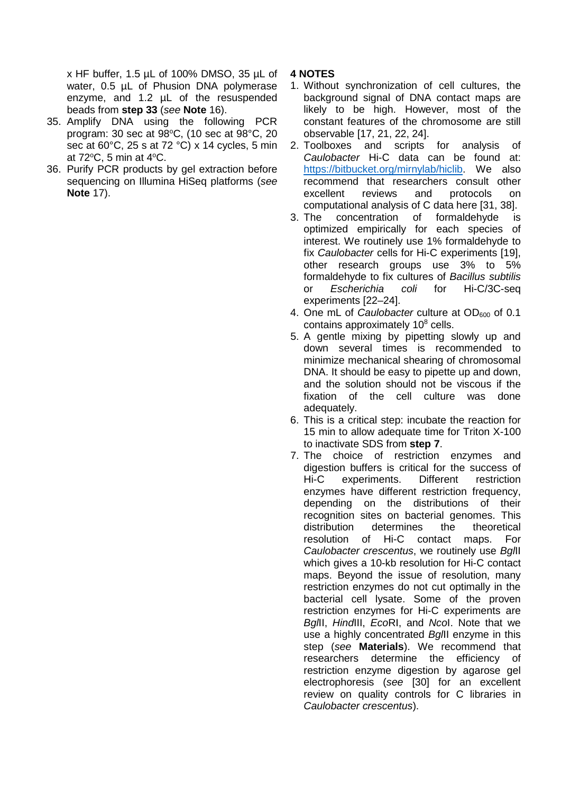x HF buffer, 1.5 µL of 100% DMSO, 35 µL of water, 0.5 µL of Phusion DNA polymerase enzyme, and 1.2 µL of the resuspended beads from **step 33** (*see* **Note** 16).

- 35. Amplify DNA using the following PCR program: 30 sec at 98°C, (10 sec at 98°C, 20 sec at 60°C, 25 s at 72 °C) x 14 cycles, 5 min at 72°C, 5 min at 4°C.
- 36. Purify PCR products by gel extraction before sequencing on Illumina HiSeq platforms (*see*  **Note** 17).

## **4 NOTES**

- 1. Without synchronization of cell cultures, the background signal of DNA contact maps are likely to be high. However, most of the constant features of the chromosome are still observable [17, 21, 22, 24].
- 2. Toolboxes and scripts for analysis of *Caulobacter* Hi-C data can be found at: [https://bitbucket.org/mirnylab/hiclib.](https://bitbucket.org/mirnylab/hiclib) We also recommend that researchers consult other excellent reviews and protocols on computational analysis of C data here [31, 38].
- 3. The concentration of formaldehyde is optimized empirically for each species of interest. We routinely use 1% formaldehyde to fix *Caulobacter* cells for Hi-C experiments [19], other research groups use 3% to 5% formaldehyde to fix cultures of *Bacillus subtilis* or *Escherichia coli* for Hi-C/3C-seq experiments [22–24].
- 4. One mL of *Caulobacter* culture at OD<sub>600</sub> of 0.1 contains approximately 10<sup>8</sup> cells.
- 5. A gentle mixing by pipetting slowly up and down several times is recommended to minimize mechanical shearing of chromosomal DNA. It should be easy to pipette up and down, and the solution should not be viscous if the fixation of the cell culture was done adequately.
- 6. This is a critical step: incubate the reaction for 15 min to allow adequate time for Triton X-100 to inactivate SDS from **step 7**.
- 7. The choice of restriction enzymes and digestion buffers is critical for the success of Hi-C experiments. Different restriction enzymes have different restriction frequency, depending on the distributions of their recognition sites on bacterial genomes. This distribution determines the theoretical resolution of Hi-C contact maps. For *Caulobacter crescentus*, we routinely use *Bgl*II which gives a 10-kb resolution for Hi-C contact maps. Beyond the issue of resolution, many restriction enzymes do not cut optimally in the bacterial cell lysate. Some of the proven restriction enzymes for Hi-C experiments are *Bgl*II, *Hind*III, *Eco*RI, and *Nco*I. Note that we use a highly concentrated *Bgl*II enzyme in this step (*see* **Materials**). We recommend that researchers determine the efficiency of restriction enzyme digestion by agarose gel electrophoresis (*see* [30] for an excellent review on quality controls for C libraries in *Caulobacter crescentus*).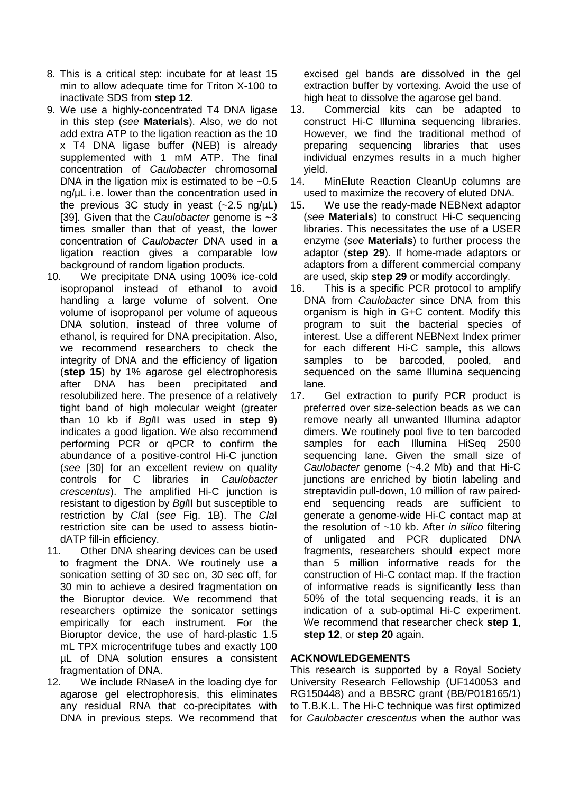- 8. This is a critical step: incubate for at least 15 min to allow adequate time for Triton X-100 to inactivate SDS from **step 12**.
- 9. We use a highly-concentrated T4 DNA ligase in this step (*see* **Materials**). Also, we do not add extra ATP to the ligation reaction as the 10 x T4 DNA ligase buffer (NEB) is already supplemented with 1 mM ATP. The final concentration of *Caulobacter* chromosomal DNA in the ligation mix is estimated to be  $\sim 0.5$ ng/µL i.e. lower than the concentration used in the previous 3C study in yeast  $(-2.5 \text{ ng/µL})$ [39]. Given that the *Caulobacter* genome is ~3 times smaller than that of yeast, the lower concentration of *Caulobacter* DNA used in a ligation reaction gives a comparable low background of random ligation products.
- 10. We precipitate DNA using 100% ice-cold isopropanol instead of ethanol to avoid handling a large volume of solvent. One volume of isopropanol per volume of aqueous DNA solution, instead of three volume of ethanol, is required for DNA precipitation. Also, we recommend researchers to check the integrity of DNA and the efficiency of ligation (**step 15**) by 1% agarose gel electrophoresis after DNA has been precipitated and resolubilized here. The presence of a relatively tight band of high molecular weight (greater than 10 kb if *Bgl*II was used in **step 9**) indicates a good ligation. We also recommend performing PCR or qPCR to confirm the abundance of a positive-control Hi-C junction (*see* [30] for an excellent review on quality controls for C libraries in *Caulobacter crescentus*). The amplified Hi-C junction is resistant to digestion by *Bgl*II but susceptible to restriction by *Cla*I (*see* Fig. 1B). The *Cla*I restriction site can be used to assess biotindATP fill-in efficiency.<br>11. Other DNA shear
- Other DNA shearing devices can be used to fragment the DNA. We routinely use a sonication setting of 30 sec on, 30 sec off, for 30 min to achieve a desired fragmentation on the Bioruptor device. We recommend that researchers optimize the sonicator settings empirically for each instrument. For the Bioruptor device, the use of hard-plastic 1.5 mL TPX microcentrifuge tubes and exactly 100 µL of DNA solution ensures a consistent fragmentation of DNA.
- 12. We include RNaseA in the loading dye for agarose gel electrophoresis, this eliminates any residual RNA that co-precipitates with DNA in previous steps. We recommend that

excised gel bands are dissolved in the gel extraction buffer by vortexing. Avoid the use of high heat to dissolve the agarose gel band.

- 13. Commercial kits can be adapted to construct Hi-C Illumina sequencing libraries. However, we find the traditional method of preparing sequencing libraries that uses individual enzymes results in a much higher yield.<br>14. N
- MinElute Reaction CleanUp columns are used to maximize the recovery of eluted DNA.
- 15. We use the ready-made NEBNext adaptor (*see* **Materials**) to construct Hi-C sequencing libraries. This necessitates the use of a USER enzyme (*see* **Materials**) to further process the adaptor (**step 29**). If home-made adaptors or adaptors from a different commercial company are used, skip **step 29** or modify accordingly.
- 16. This is a specific PCR protocol to amplify DNA from *Caulobacter* since DNA from this organism is high in G+C content. Modify this program to suit the bacterial species of interest. Use a different NEBNext Index primer for each different Hi-C sample, this allows samples to be barcoded, pooled, and sequenced on the same Illumina sequencing lane.
- 17. Gel extraction to purify PCR product is preferred over size-selection beads as we can remove nearly all unwanted Illumina adaptor dimers. We routinely pool five to ten barcoded samples for each Illumina HiSeq 2500 sequencing lane. Given the small size of *Caulobacter* genome (~4.2 Mb) and that Hi-C junctions are enriched by biotin labeling and streptavidin pull-down, 10 million of raw pairedend sequencing reads are sufficient to generate a genome-wide Hi-C contact map at the resolution of ~10 kb. After *in silico* filtering of unligated and PCR duplicated DNA fragments, researchers should expect more than 5 million informative reads for the construction of Hi-C contact map. If the fraction of informative reads is significantly less than 50% of the total sequencing reads, it is an indication of a sub-optimal Hi-C experiment. We recommend that researcher check **step 1**, **step 12**, or **step 20** again.

### **ACKNOWLEDGEMENTS**

This research is supported by a Royal Society University Research Fellowship (UF140053 and RG150448) and a BBSRC grant (BB/P018165/1) to T.B.K.L. The Hi-C technique was first optimized for *Caulobacter crescentus* when the author was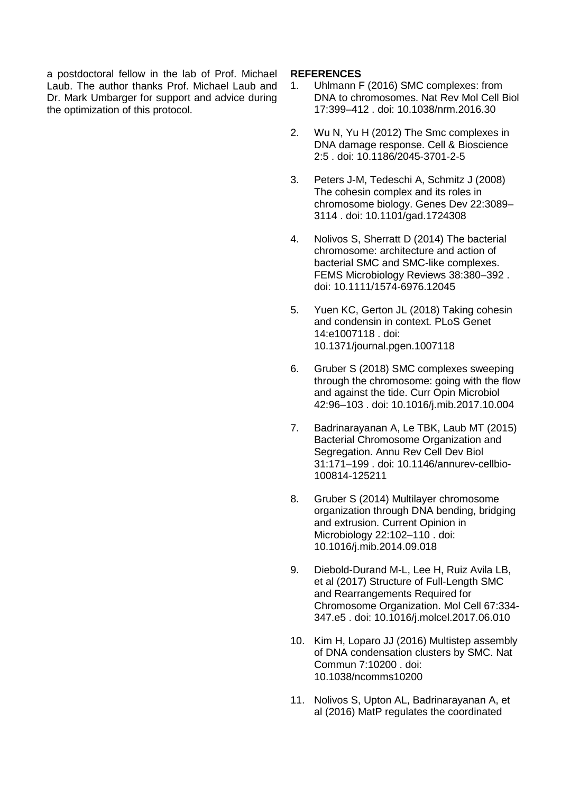a postdoctoral fellow in the lab of Prof. Michael Laub. The author thanks Prof. Michael Laub and Dr. Mark Umbarger for support and advice during the optimization of this protocol.

#### **REFERENCES**

- 1. Uhlmann F (2016) SMC complexes: from DNA to chromosomes. Nat Rev Mol Cell Biol 17:399–412 . doi: 10.1038/nrm.2016.30
- 2. Wu N, Yu H (2012) The Smc complexes in DNA damage response. Cell & Bioscience 2:5 . doi: 10.1186/2045-3701-2-5
- 3. Peters J-M, Tedeschi A, Schmitz J (2008) The cohesin complex and its roles in chromosome biology. Genes Dev 22:3089– 3114 . doi: 10.1101/gad.1724308
- 4. Nolivos S, Sherratt D (2014) The bacterial chromosome: architecture and action of bacterial SMC and SMC-like complexes. FEMS Microbiology Reviews 38:380–392 . doi: 10.1111/1574-6976.12045
- 5. Yuen KC, Gerton JL (2018) Taking cohesin and condensin in context. PLoS Genet 14:e1007118 . doi: 10.1371/journal.pgen.1007118
- 6. Gruber S (2018) SMC complexes sweeping through the chromosome: going with the flow and against the tide. Curr Opin Microbiol 42:96–103 . doi: 10.1016/j.mib.2017.10.004
- 7. Badrinarayanan A, Le TBK, Laub MT (2015) Bacterial Chromosome Organization and Segregation. Annu Rev Cell Dev Biol 31:171–199 . doi: 10.1146/annurev-cellbio-100814-125211
- 8. Gruber S (2014) Multilayer chromosome organization through DNA bending, bridging and extrusion. Current Opinion in Microbiology 22:102–110 . doi: 10.1016/j.mib.2014.09.018
- 9. Diebold-Durand M-L, Lee H, Ruiz Avila LB, et al (2017) Structure of Full-Length SMC and Rearrangements Required for Chromosome Organization. Mol Cell 67:334- 347.e5 . doi: 10.1016/j.molcel.2017.06.010
- 10. Kim H, Loparo JJ (2016) Multistep assembly of DNA condensation clusters by SMC. Nat Commun 7:10200 . doi: 10.1038/ncomms10200
- 11. Nolivos S, Upton AL, Badrinarayanan A, et al (2016) MatP regulates the coordinated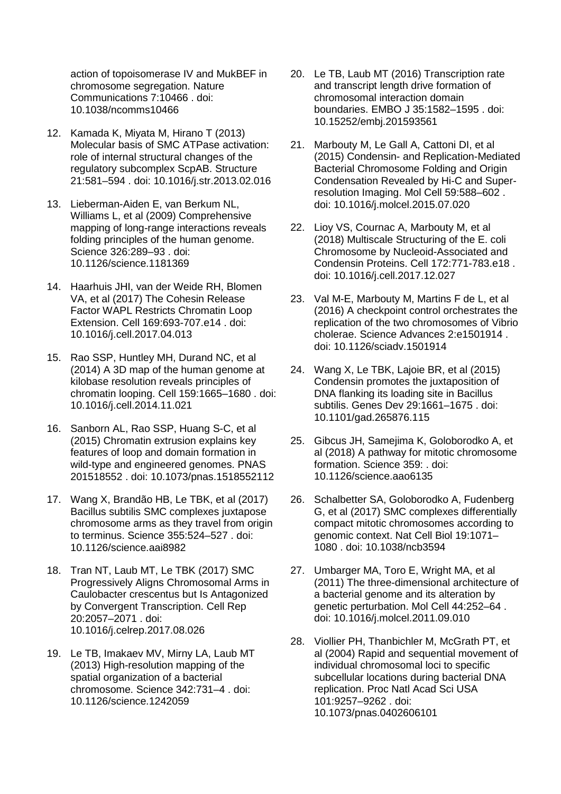action of topoisomerase IV and MukBEF in chromosome segregation. Nature Communications 7:10466 . doi: 10.1038/ncomms10466

- 12. Kamada K, Miyata M, Hirano T (2013) Molecular basis of SMC ATPase activation: role of internal structural changes of the regulatory subcomplex ScpAB. Structure 21:581–594 . doi: 10.1016/j.str.2013.02.016
- 13. Lieberman-Aiden E, van Berkum NL, Williams L, et al (2009) Comprehensive mapping of long-range interactions reveals folding principles of the human genome. Science 326:289–93 . doi: 10.1126/science.1181369
- 14. Haarhuis JHI, van der Weide RH, Blomen VA, et al (2017) The Cohesin Release Factor WAPL Restricts Chromatin Loop Extension. Cell 169:693-707.e14 . doi: 10.1016/j.cell.2017.04.013
- 15. Rao SSP, Huntley MH, Durand NC, et al (2014) A 3D map of the human genome at kilobase resolution reveals principles of chromatin looping. Cell 159:1665–1680 . doi: 10.1016/j.cell.2014.11.021
- 16. Sanborn AL, Rao SSP, Huang S-C, et al (2015) Chromatin extrusion explains key features of loop and domain formation in wild-type and engineered genomes. PNAS 201518552 . doi: 10.1073/pnas.1518552112
- 17. Wang X, Brandão HB, Le TBK, et al (2017) Bacillus subtilis SMC complexes juxtapose chromosome arms as they travel from origin to terminus. Science 355:524–527 . doi: 10.1126/science.aai8982
- 18. Tran NT, Laub MT, Le TBK (2017) SMC Progressively Aligns Chromosomal Arms in Caulobacter crescentus but Is Antagonized by Convergent Transcription. Cell Rep 20:2057–2071 . doi: 10.1016/j.celrep.2017.08.026
- 19. Le TB, Imakaev MV, Mirny LA, Laub MT (2013) High-resolution mapping of the spatial organization of a bacterial chromosome. Science 342:731–4 . doi: 10.1126/science.1242059
- 20. Le TB, Laub MT (2016) Transcription rate and transcript length drive formation of chromosomal interaction domain boundaries. EMBO J 35:1582–1595 . doi: 10.15252/embj.201593561
- 21. Marbouty M, Le Gall A, Cattoni DI, et al (2015) Condensin- and Replication-Mediated Bacterial Chromosome Folding and Origin Condensation Revealed by Hi-C and Superresolution Imaging. Mol Cell 59:588–602 . doi: 10.1016/j.molcel.2015.07.020
- 22. Lioy VS, Cournac A, Marbouty M, et al (2018) Multiscale Structuring of the E. coli Chromosome by Nucleoid-Associated and Condensin Proteins. Cell 172:771-783.e18 . doi: 10.1016/j.cell.2017.12.027
- 23. Val M-E, Marbouty M, Martins F de L, et al (2016) A checkpoint control orchestrates the replication of the two chromosomes of Vibrio cholerae. Science Advances 2:e1501914 . doi: 10.1126/sciadv.1501914
- 24. Wang X, Le TBK, Lajoie BR, et al (2015) Condensin promotes the juxtaposition of DNA flanking its loading site in Bacillus subtilis. Genes Dev 29:1661–1675 . doi: 10.1101/gad.265876.115
- 25. Gibcus JH, Samejima K, Goloborodko A, et al (2018) A pathway for mitotic chromosome formation. Science 359: . doi: 10.1126/science.aao6135
- 26. Schalbetter SA, Goloborodko A, Fudenberg G, et al (2017) SMC complexes differentially compact mitotic chromosomes according to genomic context. Nat Cell Biol 19:1071– 1080 . doi: 10.1038/ncb3594
- 27. Umbarger MA, Toro E, Wright MA, et al (2011) The three-dimensional architecture of a bacterial genome and its alteration by genetic perturbation. Mol Cell 44:252–64 . doi: 10.1016/j.molcel.2011.09.010
- 28. Viollier PH, Thanbichler M, McGrath PT, et al (2004) Rapid and sequential movement of individual chromosomal loci to specific subcellular locations during bacterial DNA replication. Proc Natl Acad Sci USA 101:9257–9262 . doi: 10.1073/pnas.0402606101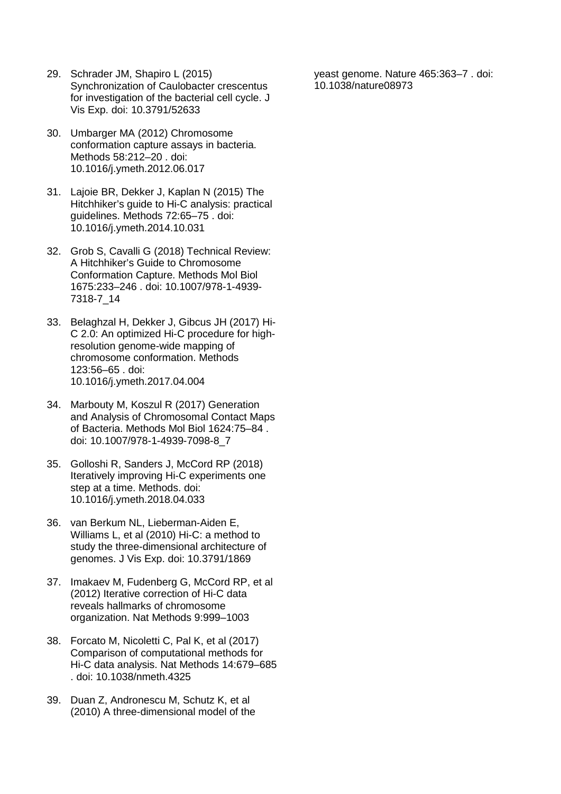- 29. Schrader JM, Shapiro L (2015) Synchronization of Caulobacter crescentus for investigation of the bacterial cell cycle. J Vis Exp. doi: 10.3791/52633
- 30. Umbarger MA (2012) Chromosome conformation capture assays in bacteria. Methods 58:212–20 . doi: 10.1016/j.ymeth.2012.06.017
- 31. Lajoie BR, Dekker J, Kaplan N (2015) The Hitchhiker's guide to Hi-C analysis: practical guidelines. Methods 72:65–75 . doi: 10.1016/j.ymeth.2014.10.031
- 32. Grob S, Cavalli G (2018) Technical Review: A Hitchhiker's Guide to Chromosome Conformation Capture. Methods Mol Biol 1675:233–246 . doi: 10.1007/978-1-4939- 7318-7\_14
- 33. Belaghzal H, Dekker J, Gibcus JH (2017) Hi-C 2.0: An optimized Hi-C procedure for highresolution genome-wide mapping of chromosome conformation. Methods 123:56–65 . doi: 10.1016/j.ymeth.2017.04.004
- 34. Marbouty M, Koszul R (2017) Generation and Analysis of Chromosomal Contact Maps of Bacteria. Methods Mol Biol 1624:75–84 . doi: 10.1007/978-1-4939-7098-8\_7
- 35. Golloshi R, Sanders J, McCord RP (2018) Iteratively improving Hi-C experiments one step at a time. Methods. doi: 10.1016/j.ymeth.2018.04.033
- 36. van Berkum NL, Lieberman-Aiden E, Williams L, et al (2010) Hi-C: a method to study the three-dimensional architecture of genomes. J Vis Exp. doi: 10.3791/1869
- 37. Imakaev M, Fudenberg G, McCord RP, et al (2012) Iterative correction of Hi-C data reveals hallmarks of chromosome organization. Nat Methods 9:999–1003
- 38. Forcato M, Nicoletti C, Pal K, et al (2017) Comparison of computational methods for Hi-C data analysis. Nat Methods 14:679–685 . doi: 10.1038/nmeth.4325
- 39. Duan Z, Andronescu M, Schutz K, et al (2010) A three-dimensional model of the

yeast genome. Nature 465:363–7 . doi: 10.1038/nature08973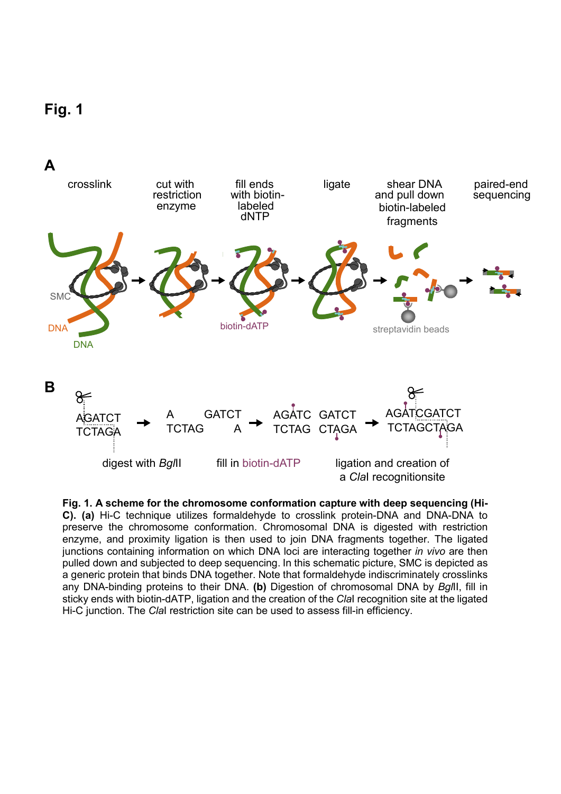



**Fig. 1. A scheme for the chromosome conformation capture with deep sequencing (Hi-C). (a)** Hi-C technique utilizes formaldehyde to crosslink protein-DNA and DNA-DNA to preserve the chromosome conformation. Chromosomal DNA is digested with restriction enzyme, and proximity ligation is then used to join DNA fragments together. The ligated junctions containing information on which DNA loci are interacting together *in vivo* are then pulled down and subjected to deep sequencing. In this schematic picture, SMC is depicted as a generic protein that binds DNA together. Note that formaldehyde indiscriminately crosslinks any DNA-binding proteins to their DNA. **(b)** Digestion of chromosomal DNA by *Bgl*II, fill in sticky ends with biotin-dATP, ligation and the creation of the *Cla*I recognition site at the ligated Hi-C junction. The *Cla*I restriction site can be used to assess fill-in efficiency.